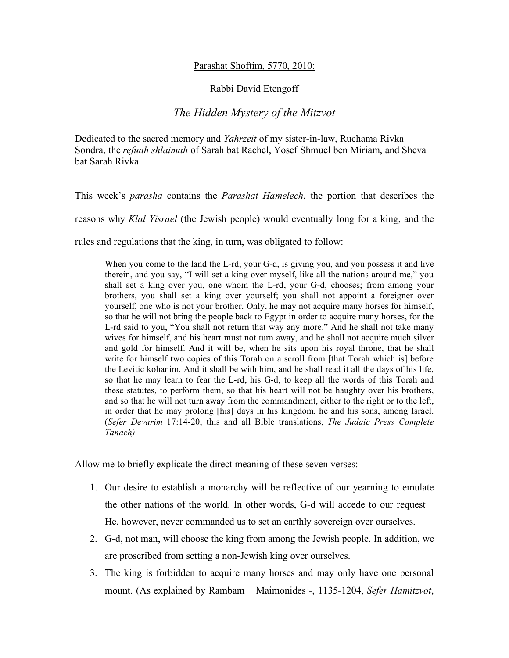## Parashat Shoftim, 5770, 2010:

## Rabbi David Etengoff

## *The Hidden Mystery of the Mitzvot*

Dedicated to the sacred memory and *Yahrzeit* of my sister-in-law, Ruchama Rivka Sondra, the *refuah shlaimah* of Sarah bat Rachel, Yosef Shmuel ben Miriam, and Sheva bat Sarah Rivka.

This week's *parasha* contains the *Parashat Hamelech*, the portion that describes the reasons why *Klal Yisrael* (the Jewish people) would eventually long for a king, and the rules and regulations that the king, in turn, was obligated to follow:

When you come to the land the L-rd, your G-d, is giving you, and you possess it and live therein, and you say, "I will set a king over myself, like all the nations around me," you shall set a king over you, one whom the L-rd, your G-d, chooses; from among your brothers, you shall set a king over yourself; you shall not appoint a foreigner over yourself, one who is not your brother. Only, he may not acquire many horses for himself, so that he will not bring the people back to Egypt in order to acquire many horses, for the L-rd said to you, "You shall not return that way any more." And he shall not take many wives for himself, and his heart must not turn away, and he shall not acquire much silver and gold for himself. And it will be, when he sits upon his royal throne, that he shall write for himself two copies of this Torah on a scroll from [that Torah which is] before the Levitic kohanim. And it shall be with him, and he shall read it all the days of his life, so that he may learn to fear the L-rd, his G-d, to keep all the words of this Torah and these statutes, to perform them, so that his heart will not be haughty over his brothers, and so that he will not turn away from the commandment, either to the right or to the left, in order that he may prolong [his] days in his kingdom, he and his sons, among Israel. (*Sefer Devarim* 17:14-20, this and all Bible translations, *The Judaic Press Complete Tanach)*

Allow me to briefly explicate the direct meaning of these seven verses:

- 1. Our desire to establish a monarchy will be reflective of our yearning to emulate the other nations of the world. In other words, G-d will accede to our request – He, however, never commanded us to set an earthly sovereign over ourselves.
- 2. G-d, not man, will choose the king from among the Jewish people. In addition, we are proscribed from setting a non-Jewish king over ourselves.
- 3. The king is forbidden to acquire many horses and may only have one personal mount. (As explained by Rambam – Maimonides -, 1135-1204, *Sefer Hamitzvot*,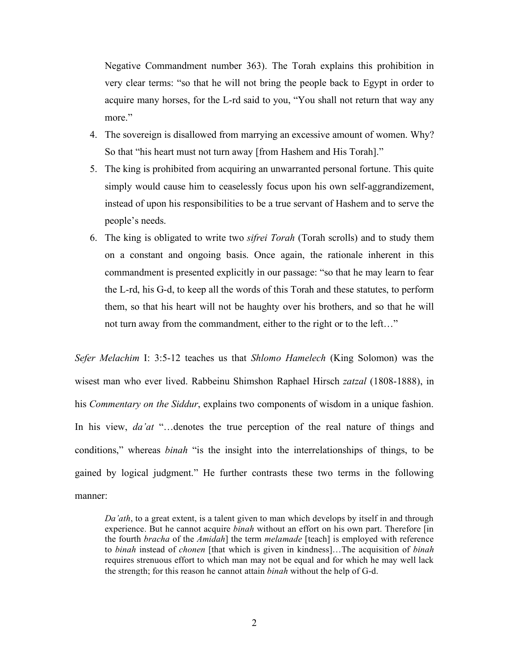Negative Commandment number 363). The Torah explains this prohibition in very clear terms: "so that he will not bring the people back to Egypt in order to acquire many horses, for the L-rd said to you, "You shall not return that way any more."

- 4. The sovereign is disallowed from marrying an excessive amount of women. Why? So that "his heart must not turn away [from Hashem and His Torah]."
- 5. The king is prohibited from acquiring an unwarranted personal fortune. This quite simply would cause him to ceaselessly focus upon his own self-aggrandizement, instead of upon his responsibilities to be a true servant of Hashem and to serve the people's needs.
- 6. The king is obligated to write two *sifrei Torah* (Torah scrolls) and to study them on a constant and ongoing basis. Once again, the rationale inherent in this commandment is presented explicitly in our passage: "so that he may learn to fear the L-rd, his G-d, to keep all the words of this Torah and these statutes, to perform them, so that his heart will not be haughty over his brothers, and so that he will not turn away from the commandment, either to the right or to the left…"

*Sefer Melachim* I: 3:5-12 teaches us that *Shlomo Hamelech* (King Solomon) was the wisest man who ever lived. Rabbeinu Shimshon Raphael Hirsch *zatzal* (1808-1888), in his *Commentary on the Siddur*, explains two components of wisdom in a unique fashion. In his view, *da'at* "...denotes the true perception of the real nature of things and conditions," whereas *binah* "is the insight into the interrelationships of things, to be gained by logical judgment." He further contrasts these two terms in the following manner:

*Da'ath*, to a great extent, is a talent given to man which develops by itself in and through experience. But he cannot acquire *binah* without an effort on his own part. Therefore [in the fourth *bracha* of the *Amidah*] the term *melamade* [teach] is employed with reference to *binah* instead of *chonen* [that which is given in kindness]…The acquisition of *binah* requires strenuous effort to which man may not be equal and for which he may well lack the strength; for this reason he cannot attain *binah* without the help of G-d.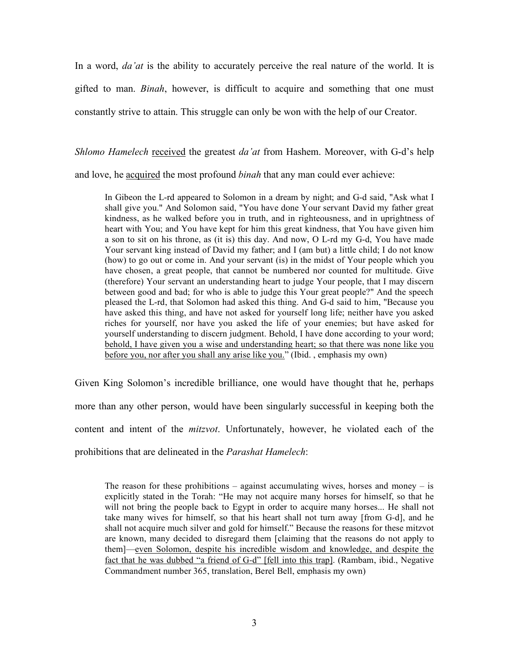In a word, *da'at* is the ability to accurately perceive the real nature of the world. It is gifted to man. *Binah*, however, is difficult to acquire and something that one must constantly strive to attain. This struggle can only be won with the help of our Creator.

*Shlomo Hamelech* received the greatest *da'at* from Hashem. Moreover, with G-d's help

and love, he acquired the most profound *binah* that any man could ever achieve:

In Gibeon the L-rd appeared to Solomon in a dream by night; and G-d said, "Ask what I shall give you." And Solomon said, "You have done Your servant David my father great kindness, as he walked before you in truth, and in righteousness, and in uprightness of heart with You; and You have kept for him this great kindness, that You have given him a son to sit on his throne, as (it is) this day. And now, O L-rd my G-d, You have made Your servant king instead of David my father; and I (am but) a little child; I do not know (how) to go out or come in. And your servant (is) in the midst of Your people which you have chosen, a great people, that cannot be numbered nor counted for multitude. Give (therefore) Your servant an understanding heart to judge Your people, that I may discern between good and bad; for who is able to judge this Your great people?" And the speech pleased the L-rd, that Solomon had asked this thing. And G-d said to him, "Because you have asked this thing, and have not asked for yourself long life; neither have you asked riches for yourself, nor have you asked the life of your enemies; but have asked for yourself understanding to discern judgment. Behold, I have done according to your word; behold, I have given you a wise and understanding heart; so that there was none like you before you, nor after you shall any arise like you." (Ibid. , emphasis my own)

Given King Solomon's incredible brilliance, one would have thought that he, perhaps more than any other person, would have been singularly successful in keeping both the content and intent of the *mitzvot*. Unfortunately, however, he violated each of the prohibitions that are delineated in the *Parashat Hamelech*:

The reason for these prohibitions – against accumulating wives, horses and money – is explicitly stated in the Torah: "He may not acquire many horses for himself, so that he will not bring the people back to Egypt in order to acquire many horses... He shall not take many wives for himself, so that his heart shall not turn away [from G-d], and he shall not acquire much silver and gold for himself." Because the reasons for these mitzvot are known, many decided to disregard them [claiming that the reasons do not apply to them]—even Solomon, despite his incredible wisdom and knowledge, and despite the fact that he was dubbed "a friend of G-d" [fell into this trap]. (Rambam, ibid., Negative Commandment number 365, translation, Berel Bell, emphasis my own)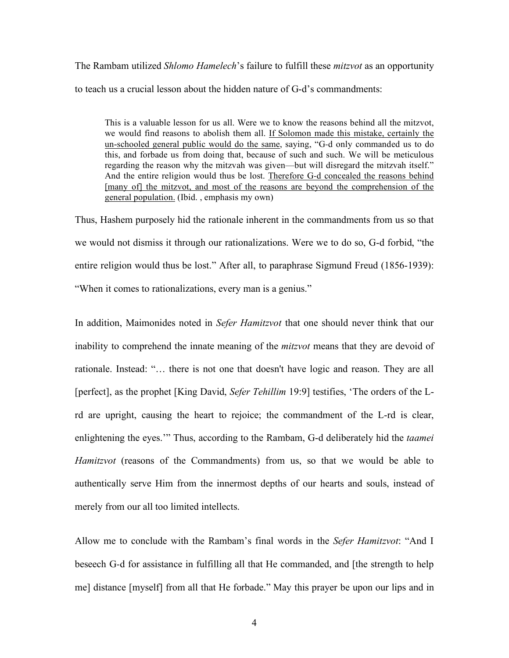The Rambam utilized *Shlomo Hamelech*'s failure to fulfill these *mitzvot* as an opportunity to teach us a crucial lesson about the hidden nature of G-d's commandments:

This is a valuable lesson for us all. Were we to know the reasons behind all the mitzvot, we would find reasons to abolish them all. If Solomon made this mistake, certainly the un-schooled general public would do the same, saying, "G-d only commanded us to do this, and forbade us from doing that, because of such and such. We will be meticulous regarding the reason why the mitzvah was given—but will disregard the mitzvah itself." And the entire religion would thus be lost. Therefore G-d concealed the reasons behind [many of] the mitzvot, and most of the reasons are beyond the comprehension of the general population. (Ibid. , emphasis my own)

Thus, Hashem purposely hid the rationale inherent in the commandments from us so that we would not dismiss it through our rationalizations. Were we to do so, G-d forbid, "the entire religion would thus be lost." After all, to paraphrase Sigmund Freud (1856-1939): "When it comes to rationalizations, every man is a genius."

In addition, Maimonides noted in *Sefer Hamitzvot* that one should never think that our inability to comprehend the innate meaning of the *mitzvot* means that they are devoid of rationale. Instead: "… there is not one that doesn't have logic and reason. They are all [perfect], as the prophet [King David, *Sefer Tehillim* 19:9] testifies, 'The orders of the Lrd are upright, causing the heart to rejoice; the commandment of the L-rd is clear, enlightening the eyes.'" Thus, according to the Rambam, G-d deliberately hid the *taamei Hamitzvot* (reasons of the Commandments) from us, so that we would be able to authentically serve Him from the innermost depths of our hearts and souls, instead of merely from our all too limited intellects.

Allow me to conclude with the Rambam's final words in the *Sefer Hamitzvot*: "And I beseech G-d for assistance in fulfilling all that He commanded, and [the strength to help me] distance [myself] from all that He forbade." May this prayer be upon our lips and in